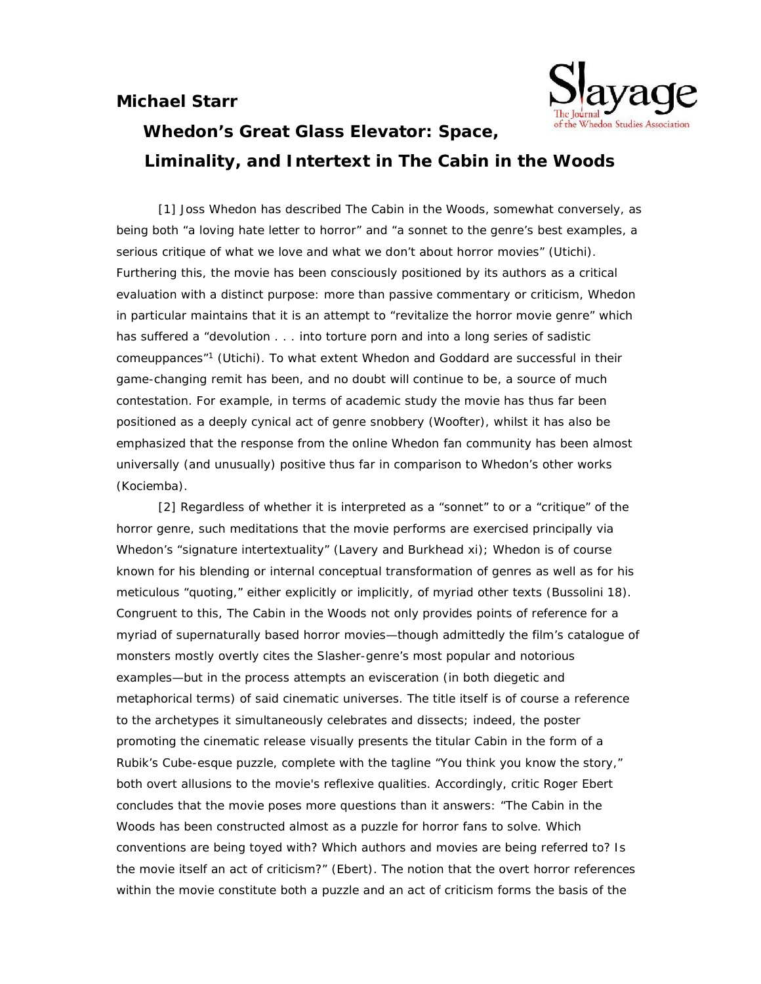## **Michael Starr**



## **Whedon's Great Glass Elevator: Space,**

**Liminality, and Intertext in** *The Cabin in the Woods*

[1] Joss Whedon has described *The Cabin in the Woods*, somewhat conversely, as being both "a loving hate letter to horror" and "a sonnet to the genre's best examples, a serious critique of what we love and what we don't about horror movies" (Utichi). Furthering this, the movie has been consciously positioned by its authors as a critical evaluation with a distinct purpose: more than passive commentary or criticism, Whedon in particular maintains that it is an attempt to "revitalize the horror movie genre" which has suffered a "devolution . . . into torture porn and into a long series of sadistic comeuppances" <sup>1</sup> (Utichi). To what extent Whedon and Goddard are successful in their game-changing remit has been, and no doubt will continue to be, a source of much contestation. For example, in terms of academic study the movie has thus far been positioned as a deeply cynical act of genre snobbery (Woofter), whilst it has also be emphasized that the response from the online Whedon fan community has been almost universally (and unusually) positive thus far in comparison to Whedon's other works (Kociemba).

[2] Regardless of whether it is interpreted as a "sonnet" to or a "critique" of the horror genre, such meditations that the movie performs are exercised principally via Whedon's "signature intertextuality" (Lavery and Burkhead xi); Whedon is of course known for his blending or internal conceptual transformation of genres as well as for his meticulous "quoting," either explicitly or implicitly, of myriad other texts (Bussolini 18). Congruent to this, *The Cabin in the Woods* not only provides points of reference for a myriad of supernaturally based horror movies—though admittedly the film's catalogue of monsters mostly overtly cites the Slasher-genre's most popular and notorious examples—but in the process attempts an evisceration (in both diegetic and metaphorical terms) of said cinematic universes. The title itself is of course a reference to the archetypes it simultaneously celebrates and dissects; indeed, the poster promoting the cinematic release visually presents the titular Cabin in the form of a Rubik's Cube-esque puzzle, complete with the tagline "You think you know the story," both overt allusions to the movie's reflexive qualities. Accordingly, critic Roger Ebert concludes that the movie poses more questions than it answers: "*The Cabin in the Woods* has been constructed almost as a puzzle for horror fans to solve. Which conventions are being toyed with? Which authors and movies are being referred to? Is the movie itself an act of criticism?" (Ebert). The notion that the overt horror references within the movie constitute both a puzzle and an act of criticism forms the basis of the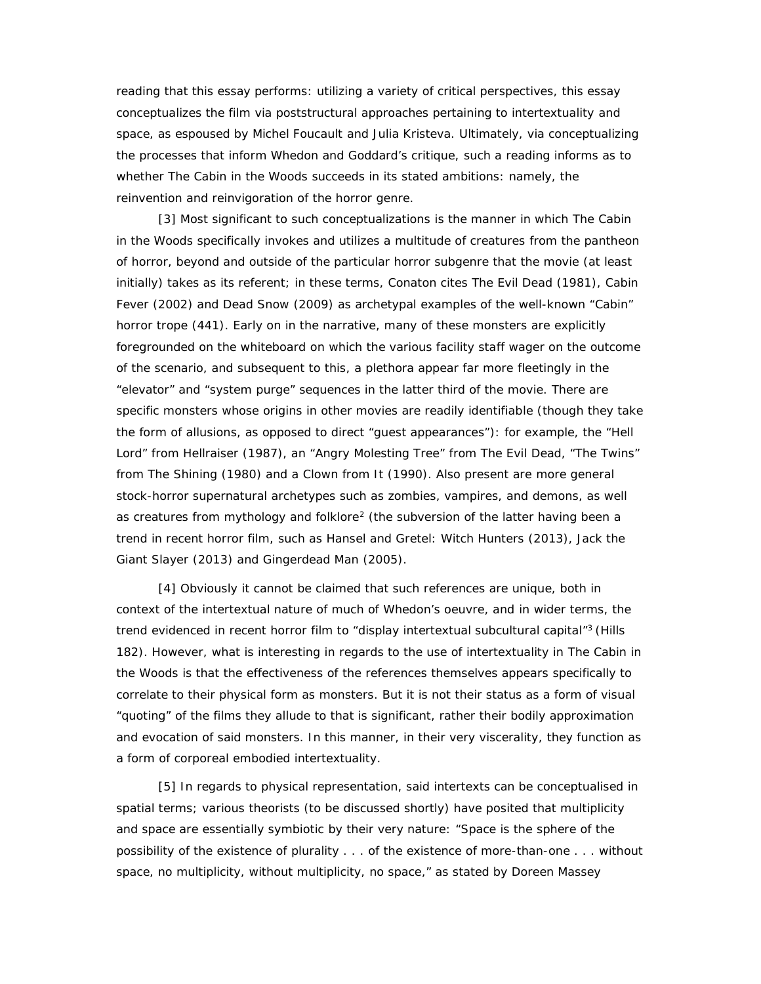reading that this essay performs: utilizing a variety of critical perspectives, this essay conceptualizes the film via poststructural approaches pertaining to intertextuality and space, as espoused by Michel Foucault and Julia Kristeva. Ultimately, via conceptualizing the processes that inform Whedon and Goddard's critique, such a reading informs as to whether *The Cabin in the Woods* succeeds in its stated ambitions: namely, the reinvention and reinvigoration of the horror genre.

[3] Most significant to such conceptualizations is the manner in which *The Cabin in the Woods* specifically invokes and utilizes a multitude of creatures from the pantheon of horror, beyond and outside of the particular horror subgenre that the movie (at least initially) takes as its referent; in these terms, Conaton cites *The Evil Dead* (1981), *Cabin Fever* (2002) and *Dead Snow* (2009) as archetypal examples of the well-known "Cabin" horror trope (441). Early on in the narrative, many of these monsters are explicitly foregrounded on the whiteboard on which the various facility staff wager on the outcome of the scenario, and subsequent to this, a plethora appear far more fleetingly in the "elevator" and "system purge" sequences in the latter third of the movie. There are specific monsters whose origins in other movies are readily identifiable (though they take the form of allusions, as opposed to direct "guest appearances"): for example, the "Hell Lord" from *Hellraiser* (1987), an "Angry Molesting Tree" from *The Evil Dead*, "The Twins" from *The Shining* (1980) and a Clown from *It* (1990). Also present are more general stock-horror supernatural archetypes such as zombies, vampires, and demons, as well as creatures from mythology and folklore<sup>2</sup> (the subversion of the latter having been a trend in recent horror film, such as *Hansel and Gretel: Witch Hunters* (2013), *Jack the Giant Slayer* (2013) and *Gingerdead Man* (2005).

[4] Obviously it cannot be claimed that such references are unique, both in context of the intertextual nature of much of Whedon's oeuvre, and in wider terms, the trend evidenced in recent horror film to "display intertextual subcultural capital" <sup>3</sup> (Hills 182). However, what is interesting in regards to the use of intertextuality in *The Cabin in the Woods* is that the effectiveness of the references themselves appears specifically to correlate to their physical form as monsters. But it is not their status as a form of visual "quoting" of the films they allude to that is significant, rather their bodily approximation and evocation of said monsters. In this manner, in their very viscerality, they function as a form of corporeal embodied intertextuality.

[5] In regards to physical representation, said intertexts can be conceptualised in spatial terms; various theorists (to be discussed shortly) have posited that multiplicity and space are essentially symbiotic by their very nature: "Space is the sphere of the possibility of the existence of plurality . . . of the existence of more-than-one . . . without space, no multiplicity, without multiplicity, no space," as stated by Doreen Massey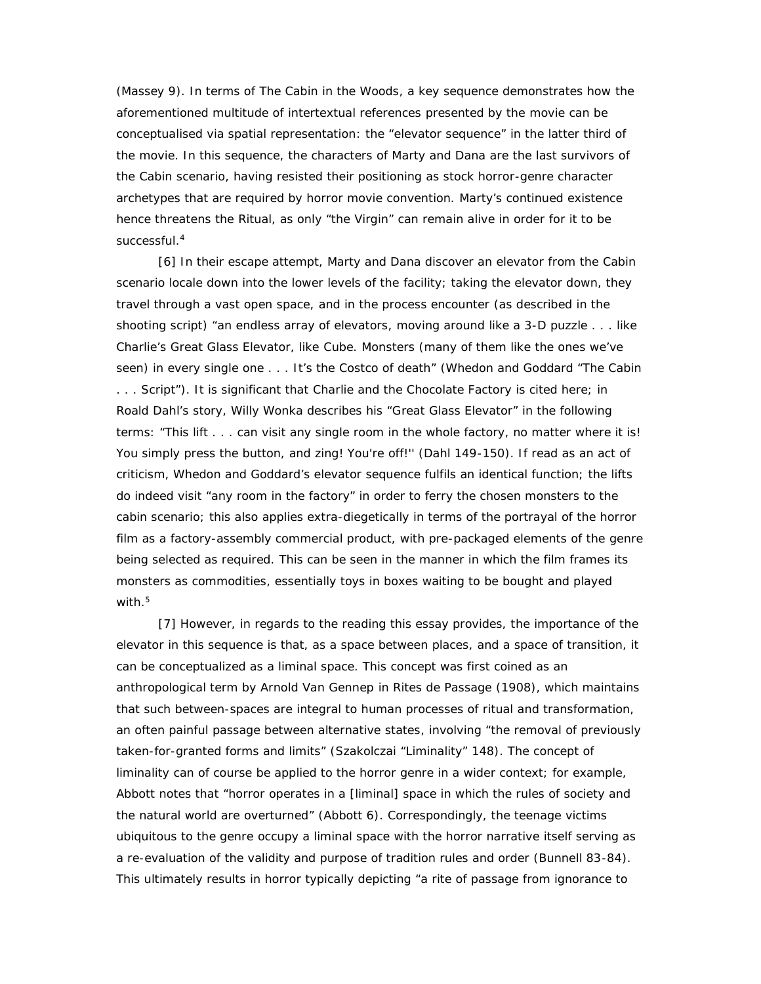(Massey 9).In terms of *The Cabin in the Woods*, a key sequence demonstrates how the aforementioned multitude of intertextual references presented by the movie can be conceptualised via spatial representation: the "elevator sequence" in the latter third of the movie. In this sequence, the characters of Marty and Dana are the last survivors of the Cabin scenario, having resisted their positioning as stock horror-genre character archetypes that are required by horror movie convention. Marty's continued existence hence threatens the Ritual, as only "the Virgin" can remain alive in order for it to be successful.<sup>4</sup>

[6] In their escape attempt, Marty and Dana discover an elevator from the Cabin scenario locale down into the lower levels of the facility; taking the elevator down, they travel through a vast open space, and in the process encounter (as described in the shooting script) "an endless array of elevators, moving around like a 3-D puzzle . . . like Charlie's Great Glass Elevator, like *Cube.* Monsters (many of them like the ones we've seen) in every single one . . . It's the Costco of death" (Whedon and Goddard "The Cabin . . . Script"). It is significant that *Charlie and the Chocolate Factory* is cited here; in Roald Dahl's story, Willy Wonka describes his "Great Glass Elevator" in the following terms: "This lift . . . can visit any single room in the whole factory, no matter where it is! You simply press the button, and zing! You're off!" (Dahl 149-150). If read as an act of criticism, Whedon and Goddard's elevator sequence fulfils an identical function; the lifts do indeed visit "any room in the factory" in order to ferry the chosen monsters to the cabin scenario; this also applies extra-diegetically in terms of the portrayal of the horror film as a factory-assembly commercial product, with pre-packaged elements of the genre being selected as required. This can be seen in the manner in which the film frames its monsters as commodities, essentially toys in boxes waiting to be bought and played with.<sup>5</sup>

[7] However, in regards to the reading this essay provides, the importance of the elevator in this sequence is that, as a space between places, and a space of transition, it can be conceptualized as a *liminal* space. This concept was first coined as an anthropological term by Arnold Van Gennep in *Rites de Passage* (1908), which maintains that such between-spaces are integral to human processes of ritual and transformation, an often painful passage between alternative states, involving "the removal of previously taken-for-granted forms and limits" (Szakolczai "Liminality" 148). The concept of liminality can of course be applied to the horror genre in a wider context; for example, Abbott notes that "horror operates in a [liminal] space in which the rules of society and the natural world are overturned" (Abbott 6). Correspondingly, the teenage victims ubiquitous to the genre occupy a liminal space with the horror narrative itself serving as a re-evaluation of the validity and purpose of tradition rules and order (Bunnell 83-84). This ultimately results in horror typically depicting "a rite of passage from ignorance to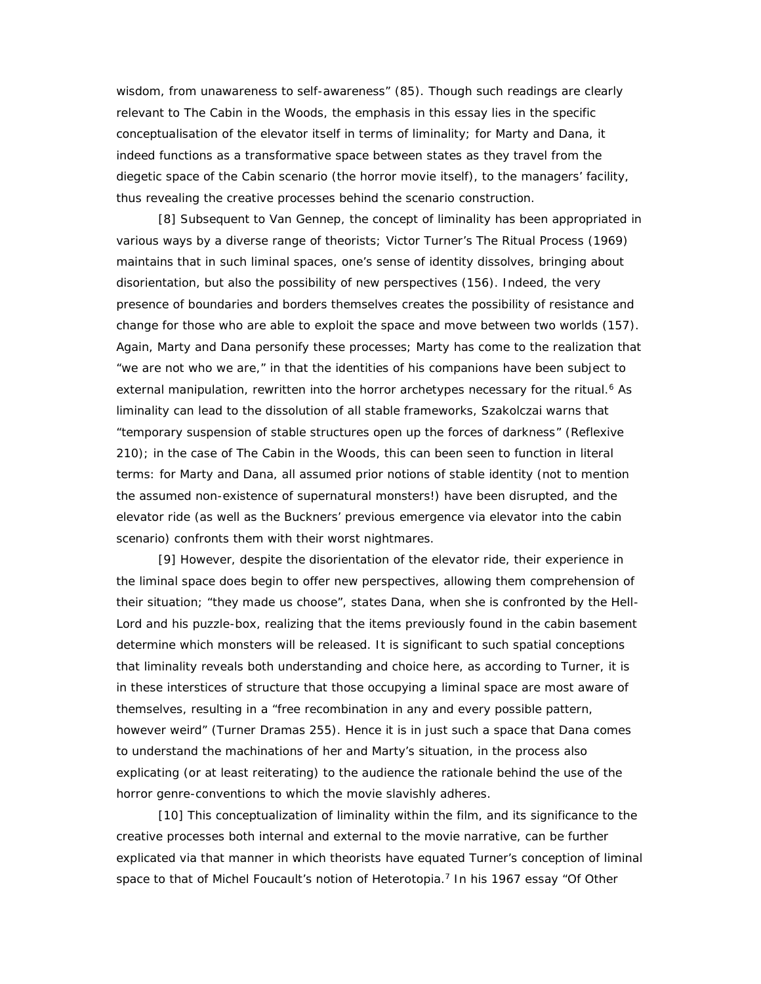wisdom, from unawareness to self-awareness" (85). Though such readings are clearly relevant to *The Cabin in the Woods,* the emphasis in this essay lies in the specific conceptualisation of the elevator itself in terms of liminality; for Marty and Dana, it indeed functions as a transformative space between states as they travel from the diegetic space of the Cabin scenario (the horror movie itself), to the managers' facility, thus revealing the creative processes behind the scenario construction.

[8] Subsequent to Van Gennep, the concept of liminality has been appropriated in various ways by a diverse range of theorists; Victor Turner's *The Ritual Process* (1969) maintains that in such liminal spaces, one's sense of identity dissolves, bringing about disorientation, but also the possibility of new perspectives (156). Indeed, the very presence of boundaries and borders themselves creates the possibility of resistance and change for those who are able to exploit the space and move between two worlds (157). Again, Marty and Dana personify these processes; Marty has come to the realization that "we are not who we are," in that the identities of his companions have been subject to external manipulation, rewritten into the horror archetypes necessary for the ritual.<sup>6</sup> As liminality can lead to the dissolution of all stable frameworks, Szakolczai warns that "temporary suspension of stable structures open up the forces of darkness" (*Reflexive* 210); in the case *of The Cabin in the Woods*, this can been seen to function in literal terms: for Marty and Dana, all assumed prior notions of stable identity (not to mention the assumed non-existence of supernatural monsters!) have been disrupted, and the elevator ride (as well as the Buckners' previous emergence via elevator into the cabin scenario) confronts them with their worst nightmares.

[9] However, despite the disorientation of the elevator ride, their experience in the liminal space does begin to offer new perspectives, allowing them comprehension of their situation; "they made us choose", states Dana, when she is confronted by the Hell- Lord and his puzzle-box, realizing that the items previously found in the cabin basement determine which monsters will be released. It is significant to such spatial conceptions that liminality reveals both understanding and choice here, as according to Turner, it is in these interstices of structure that those occupying a liminal space are most aware of themselves, resulting in a "free recombination in any and every possible pattern, however weird" (Turner *Dramas* 255). Hence it is in just such a space that Dana comes to understand the machinations of her and Marty's situation, in the process also explicating (or at least reiterating) to the audience the rationale behind the use of the horror genre-conventions to which the movie slavishly adheres.

[10] This conceptualization of liminality within the film, and its significance to the creative processes both internal and external to the movie narrative, can be further explicated via that manner in which theorists have equated Turner's conception of liminal space to that of Michel Foucault's notion of Heterotopia.<sup>7</sup> In his 1967 essay "Of Other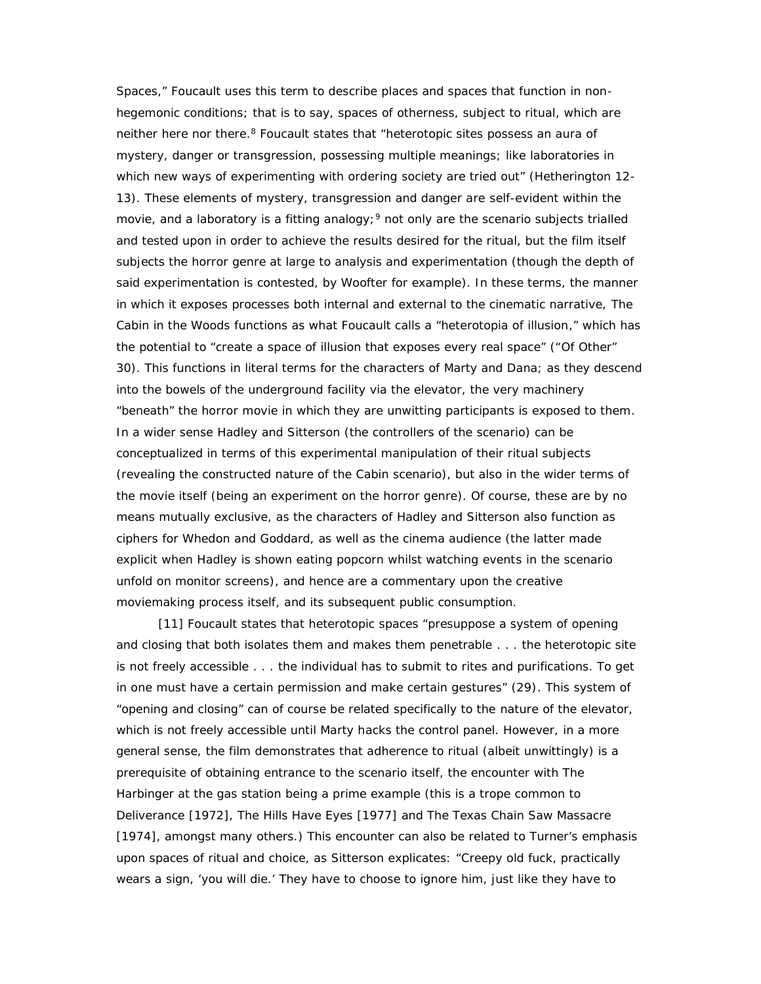Spaces," Foucault uses this term to describe places and spaces that function in non hegemonic conditions; that is to say, spaces of otherness, subject to ritual, which are neither here nor there.<sup>8</sup> Foucault states that "heterotopic sites possess an aura of mystery, danger or transgression, possessing multiple meanings; like laboratories in which new ways of experimenting with ordering society are tried out" (Hetherington 12- 13). These elements of mystery, transgression and danger are self-evident within the movie, and a laboratory is a fitting analogy;  $9$  not only are the scenario subjects trialled and tested upon in order to achieve the results desired for the ritual, but the film itself subjects the horror genre at large to analysis and experimentation (though the depth of said experimentation is contested, by Woofter for example). In these terms, the manner in which it exposes processes both internal and external to the cinematic narrative, *The Cabin in the Woods* functions as what Foucault calls a "heterotopia of illusion," which has the potential to "create a space of illusion that exposes every real space" ("Of Other" 30). This functions in literal terms for the characters of Marty and Dana; as they descend into the bowels of the underground facility via the elevator, the very machinery "beneath" the horror movie in which they are unwitting participants is exposed to them. In a wider sense Hadley and Sitterson (the controllers of the scenario) can be conceptualized in terms of this experimental manipulation of their ritual subjects (revealing the constructed nature of the Cabin scenario), but also in the wider terms of the movie itself (being an experiment on the horror genre). Of course, these are by no means mutually exclusive, as the characters of Hadley and Sitterson also function as ciphers for Whedon and Goddard, as well as the cinema audience (the latter made explicit when Hadley is shown eating popcorn whilst watching events in the scenario unfold on monitor screens), and hence are a commentary upon the creative moviemaking process itself, and its subsequent public consumption.

[11] Foucault states that heterotopic spaces "presuppose a system of opening and closing that both isolates them and makes them penetrable . . . the heterotopic site is not freely accessible . . . the individual has to submit to rites and purifications. To get in one must have a certain permission and make certain gestures" (29). This system of "opening and closing" can of course be related specifically to the nature of the elevator, which is not freely accessible until Marty hacks the control panel. However, in a more general sense, the film demonstrates that adherence to ritual (albeit unwittingly) is a prerequisite of obtaining entrance to the scenario itself, the encounter with The Harbinger at the gas station being a prime example (this is a trope common to *Deliverance* [1972], *The Hills Have Eyes* [1977] and *The Texas Chain Saw Massacre* [1974], amongst many others.) This encounter can also be related to Turner's emphasis upon spaces of ritual and choice, as Sitterson explicates: "Creepy old fuck, practically wears a sign, 'you will die.' They have to choose to ignore him, just like they have to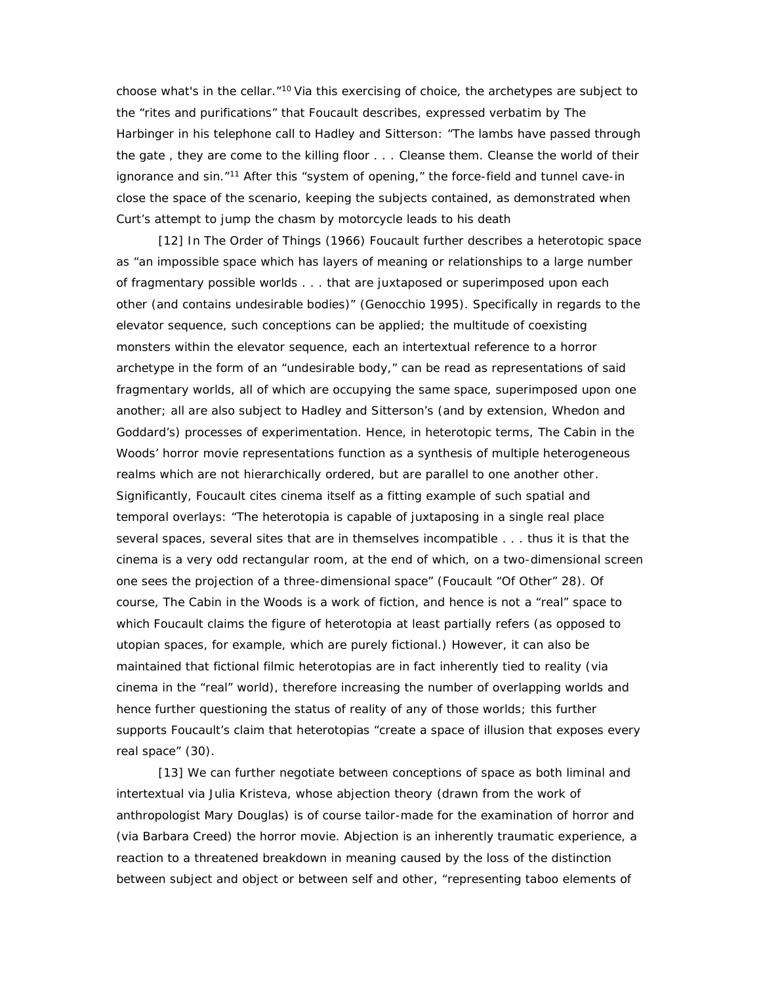choose what's in the cellar."<sup>10</sup> Via this exercising of choice, the archetypes are subject to the "rites and purifications" that Foucault describes, expressed verbatim by The Harbinger in his telephone call to Hadley and Sitterson: "The lambs have passed through the gate , they are come to the killing floor . . . Cleanse them. Cleanse the world of their ignorance and sin."<sup>11</sup> After this "system of opening," the force-field and tunnel cave-in close the space of the scenario, keeping the subjects contained, as demonstrated when Curt's attempt to jump the chasm by motorcycle leads to his death

[12] In *The Order of Things* (1966) Foucault further describes a heterotopic space as "an impossible space which has layers of meaning or relationships to a large number of fragmentary possible worlds . . . that are juxtaposed or superimposed upon each other (and contains undesirable bodies)" (Genocchio 1995). Specifically in regards to the elevator sequence, such conceptions can be applied; the multitude of coexisting monsters within the elevator sequence, each an intertextual reference to a horror archetype in the form of an "undesirable body," can be read as representations of said fragmentary worlds, all of which are occupying the same space, superimposed upon one another; all are also subject to Hadley and Sitterson's (and by extension, Whedon and Goddard's) processes of experimentation. Hence, in heterotopic terms, *The Cabin in the Woods*' horror movie representations function as a synthesis of multiple heterogeneous realms which are not hierarchically ordered, but are parallel to one another other. Significantly, Foucault cites cinema itself as a fitting example of such spatial and temporal overlays: "The heterotopia is capable of juxtaposing in a single real place several spaces, several sites that are in themselves incompatible . . . thus it is that the cinema is a very odd rectangular room, at the end of which, on a two-dimensional screen one sees the projection of a three-dimensional space" (Foucault "Of Other" 28). Of course, *The Cabin in the Woods* is a work of fiction, and hence is not a "real" space to which Foucault claims the figure of heterotopia at least partially refers (as opposed to utopian spaces, for example, which are purely fictional.) However, it can also be maintained that fictional filmic heterotopias are in fact inherently tied to reality (via cinema in the "real" world), therefore increasing the number of overlapping worlds and hence further questioning the status of reality of any of those worlds; this further supports Foucault's claim that heterotopias "create a space of illusion that exposes every real space" (30).

[13] We can further negotiate between conceptions of space as both liminal and intertextual via Julia Kristeva, whose abjection theory (drawn from the work of anthropologist Mary Douglas) is of course tailor-made for the examination of horror and (via Barbara Creed) the horror movie. Abjection is an inherently traumatic experience, a reaction to a threatened breakdown in meaning caused by the loss of the distinction between subject and object or between self and other, "representing taboo elements of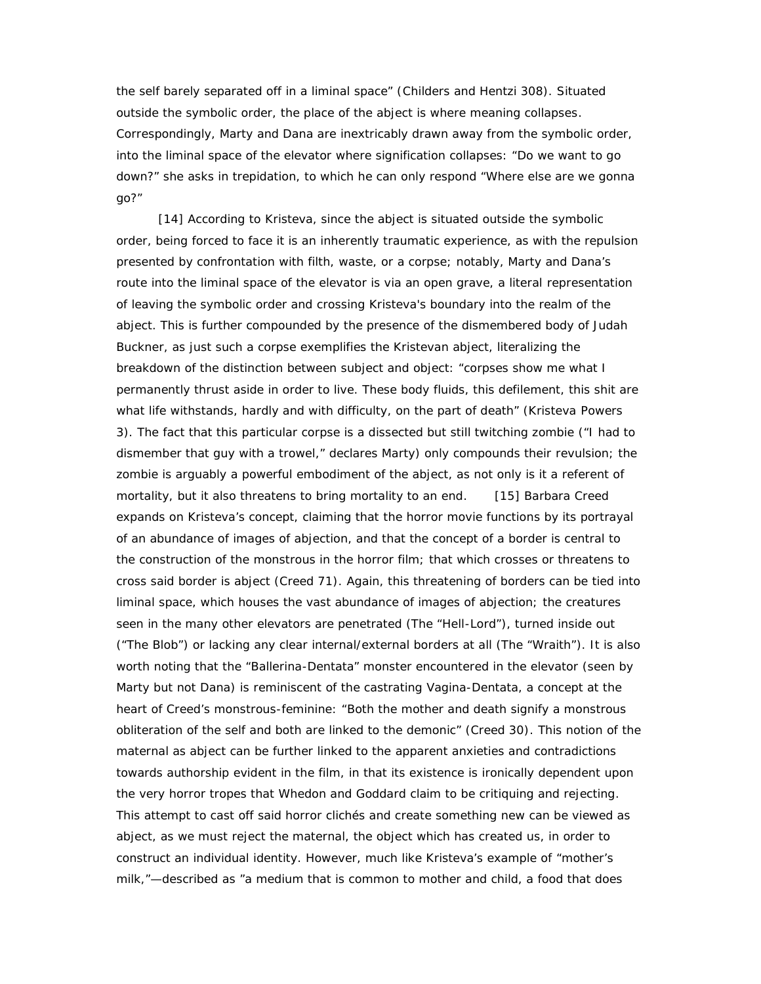the self barely separated off in a liminal space" (Childers and Hentzi 308). Situated outside the symbolic order, the place of the abject is where meaning collapses. Correspondingly, Marty and Dana are inextricably drawn away from the symbolic order, into the liminal space of the elevator where signification collapses: "Do we want to go down?" she asks in trepidation, to which he can only respond "Where else are we gonna go?"

[14] According to Kristeva, since the abject is situated outside the symbolic order, being forced to face it is an inherently traumatic experience, as with the repulsion presented by confrontation with filth, waste, or a corpse; notably, Marty and Dana's route into the liminal space of the elevator is via an open grave, a literal representation of leaving the symbolic order and crossing Kristeva's boundary into the realm of the abject. This is further compounded by the presence of the dismembered body of Judah Buckner, as just such a corpse exemplifies the Kristevan abject, literalizing the breakdown of the distinction between subject and object: "corpses show me what I permanently thrust aside in order to live. These body fluids, this defilement, this shit are what life withstands, hardly and with difficulty, on the part of death" (Kristeva *Powers* 3). The fact that this particular corpse is a dissected but still twitching zombie ("I had to dismember that guy with a trowel," declares Marty) only compounds their revulsion; the zombie is arguably a powerful embodiment of the abject, as not only is it a referent of mortality, but it also threatens to bring mortality to an end. [15] Barbara Creed expands on Kristeva's concept, claiming that the horror movie functions by its portrayal of an abundance of images of abjection, and that the concept of a border is central to the construction of the monstrous in the horror film; that which crosses or threatens to cross said border is abject (Creed 71). Again, this threatening of borders can be tied into liminal space, which houses the vast abundance of images of abjection; the creatures seen in the many other elevators are penetrated (The "Hell-Lord"), turned inside out ("The Blob") or lacking any clear internal/external borders at all (The "Wraith"). It is also worth noting that the "Ballerina-Dentata" monster encountered in the elevator (seen by Marty but not Dana) is reminiscent of the castrating Vagina-Dentata, a concept at the heart of Creed's monstrous-feminine: "Both the mother and death signify a monstrous obliteration of the self and both are linked to the demonic" (Creed 30). This notion of the maternal as abject can be further linked to the apparent anxieties and contradictions towards authorship evident in the film, in that its existence is ironically dependent upon the very horror tropes that Whedon and Goddard claim to be critiquing and rejecting. This attempt to cast off said horror clichés and create something new can be viewed as abject, as we must reject the maternal, the object which has created us, in order to construct an individual identity. However, much like Kristeva's example of "mother's milk,"—described as "a medium that is common to mother and child, a food that does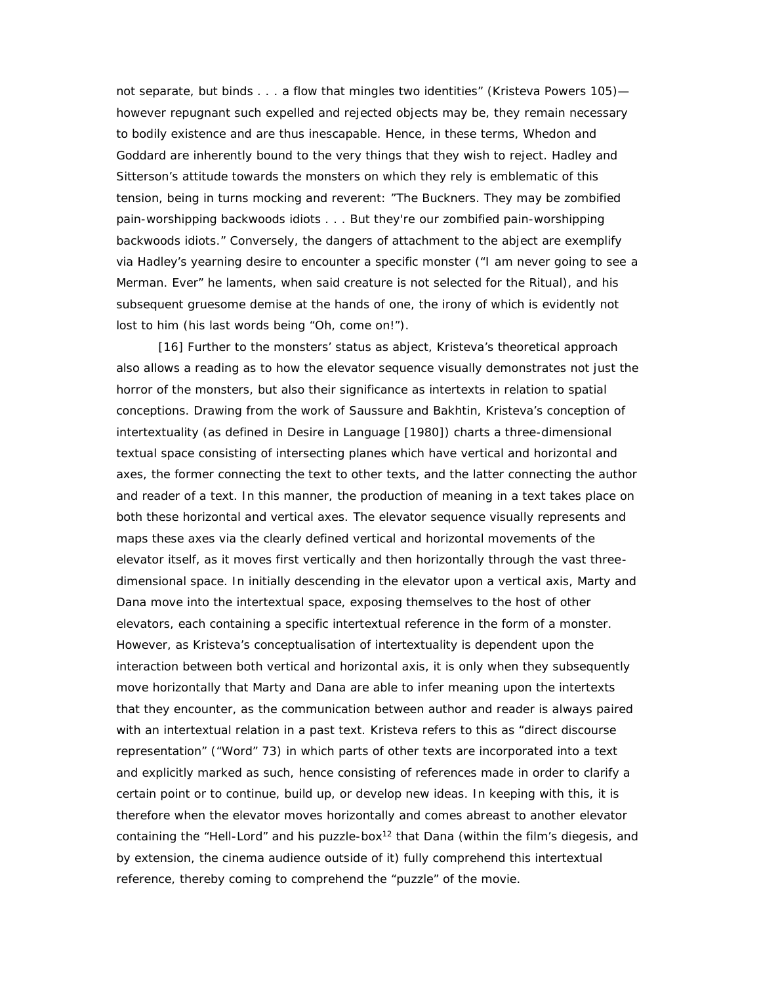not separate, but binds . . . a flow that mingles two identities" (Kristeva *Powers* 105) however repugnant such expelled and rejected objects may be, they remain necessary to bodily existence and are thus inescapable. Hence, in these terms, Whedon and Goddard are inherently bound to the very things that they wish to reject. Hadley and Sitterson's attitude towards the monsters on which they rely is emblematic of this tension, being in turns mocking and reverent: "The Buckners. They may be zombified pain-worshipping backwoods idiots . . . But they're *our* zombified pain-worshipping backwoods idiots." Conversely, the dangers of attachment to the abject are exemplify via Hadley's yearning desire to encounter a specific monster ("I am never going to see a Merman. Ever" he laments, when said creature is not selected for the Ritual), and his subsequent gruesome demise at the hands of one, the irony of which is evidently not lost to him (his last words being "Oh, come on!").

[16] Further to the monsters' status as abject, Kristeva's theoretical approach also allows a reading as to how the elevator sequence visually demonstrates not just the horror of the monsters, but also their significance as intertexts in relation to spatial conceptions. Drawing from the work of Saussure and Bakhtin, Kristeva's conception of intertextuality (as defined in *Desire in Language* [1980]) charts a three-dimensional textual space consisting of intersecting planes which have vertical and horizontal and axes, the former connecting the text to other texts, and the latter connecting the author and reader of a text. In this manner, the production of meaning in a text takes place on both these horizontal and vertical axes. The elevator sequence visually represents and maps these axes via the clearly defined vertical and horizontal movements of the elevator itself, as it moves first vertically and then horizontally through the vast three dimensional space. In initially descending in the elevator upon a vertical axis, Marty and Dana move into the intertextual space, exposing themselves to the host of other elevators, each containing a specific intertextual reference in the form of a monster. However, as Kristeva's conceptualisation of intertextuality is dependent upon the interaction between both vertical and horizontal axis, it is only when they subsequently move horizontally that Marty and Dana are able to infer meaning upon the intertexts that they encounter, as the communication between author and reader is always paired with an intertextual relation in a past text. Kristeva refers to this as "direct discourse representation" ("Word" 73) in which parts of other texts are incorporated into a text and explicitly marked as such, hence consisting of references made in order to clarify a certain point or to continue, build up, or develop new ideas. In keeping with this, it is therefore when the elevator moves horizontally and comes abreast to another elevator containing the "Hell-Lord" and his puzzle-box<sup>12</sup> that Dana (within the film's diegesis, and by extension, the cinema audience outside of it) fully comprehend this intertextual reference, thereby coming to comprehend the "puzzle" of the movie.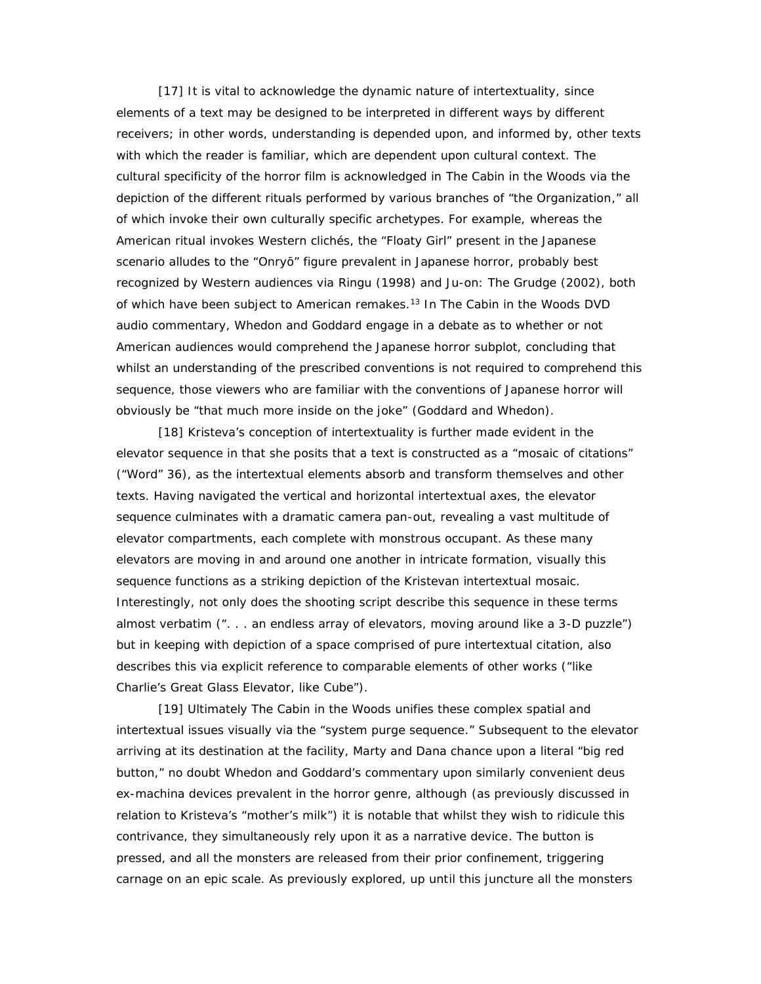[17] It is vital to acknowledge the dynamic nature of intertextuality, since elements of a text may be designed to be interpreted in different ways by different receivers; in other words, understanding is depended upon, and informed by, other texts with which the reader is familiar, which are dependent upon cultural context. The cultural specificity of the horror film is acknowledged in *The Cabin in the Woods* via the depiction of the different rituals performed by various branches of "the Organization," all of which invoke their own culturally specific archetypes. For example, whereas the American ritual invokes Western clichés, the "Floaty Girl" present in the Japanese scenario alludes to the "Onry" figure prevalent in Japanese horror, probably best recognized by Western audiences via *Ringu* (1998) and *Ju-on: The Grudge* (2002), both of which have been subject to American remakes.<sup>13</sup> In *The Cabin in the Woods* DVD audio commentary, Whedon and Goddard engage in a debate as to whether or not American audiences would comprehend the Japanese horror subplot, concluding that whilst an understanding of the prescribed conventions is not required to comprehend this sequence, those viewers who are familiar with the conventions of Japanese horror will obviously be "that much more inside on the joke" (Goddard and Whedon).

[18] Kristeva's conception of intertextuality is further made evident in the elevator sequence in that she posits that a text is constructed as a "mosaic of citations" ("Word" 36), as the intertextual elements absorb and transform themselves and other texts. Having navigated the vertical and horizontal intertextual axes, the elevator sequence culminates with a dramatic camera pan-out, revealing a vast multitude of elevator compartments, each complete with monstrous occupant. As these many elevators are moving in and around one another in intricate formation, visually this sequence functions as a striking depiction of the Kristevan intertextual mosaic. Interestingly, not only does the shooting script describe this sequence in these terms almost verbatim (". . . an endless array of elevators, moving around like a 3-D puzzle") but in keeping with depiction of a space comprised of pure intertextual citation, also describes this via explicit reference to comparable elements of other works ("like Charlie's Great Glass Elevator, like *Cube*").

[19] Ultimately *The Cabin in the Woods* unifies these complex spatial and intertextual issues visually via the "system purge sequence." Subsequent to the elevator arriving at its destination at the facility, Marty and Dana chance upon a literal "big red button," no doubt Whedon and Goddard's commentary upon similarly convenient deus ex-machina devices prevalent in the horror genre, although (as previously discussed in relation to Kristeva's "mother's milk") it is notable that whilst they wish to ridicule this contrivance, they simultaneously rely upon it as a narrative device. The button is pressed, and all the monsters are released from their prior confinement, triggering carnage on an epic scale. As previously explored, up until this juncture all the monsters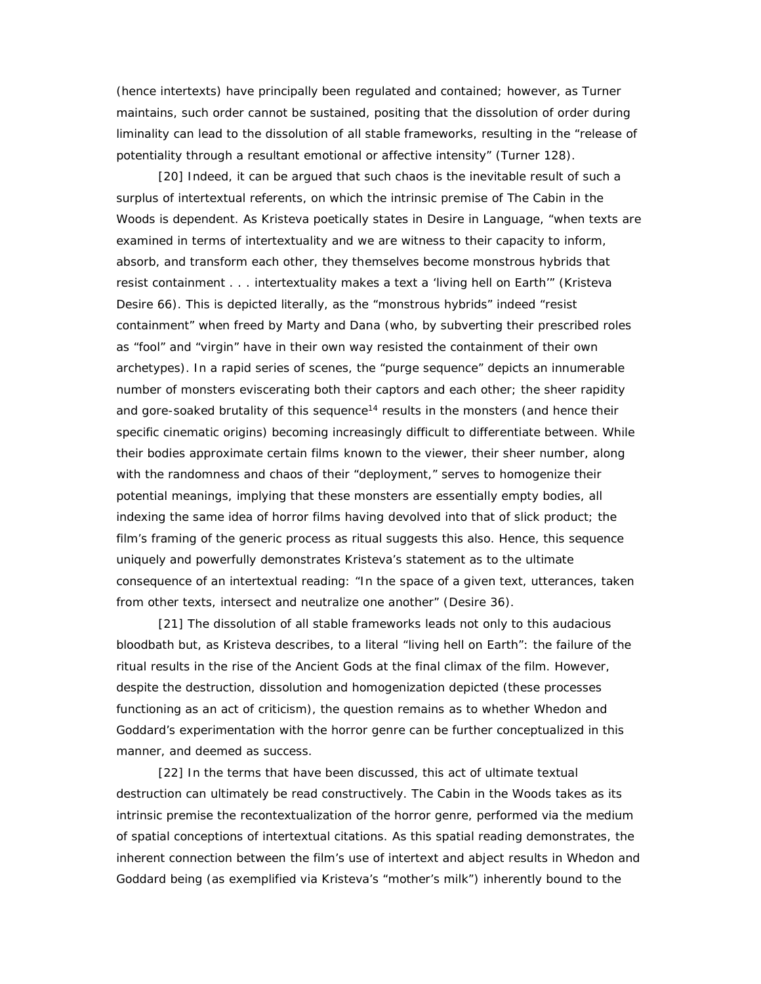(hence intertexts) have principally been regulated and contained; however, as Turner maintains, such order cannot be sustained, positing that the dissolution of order during liminality can lead to the dissolution of *all* stable frameworks, resulting in the "release of potentiality through a resultant emotional or affective intensity" (Turner 128).

[20] Indeed, it can be argued that such chaos is the inevitable result of such a surplus of intertextual referents, on which the intrinsic premise of *The Cabin in the Woods* is dependent. As Kristeva poetically states in *Desire in Language*, "when texts are examined in terms of intertextuality and we are witness to their capacity to inform, absorb, and transform each other, they themselves become monstrous hybrids that resist containment . . . intertextuality makes a text a 'living hell on Earth'" (Kristeva *Desire* 66). This is depicted literally, as the "monstrous hybrids" indeed "resist containment" when freed by Marty and Dana (who, by subverting their prescribed roles as "fool" and "virgin" have in their own way resisted the containment of their own archetypes). In a rapid series of scenes, the "purge sequence" depicts an innumerable number of monsters eviscerating both their captors and each other; the sheer rapidity and gore-soaked brutality of this sequence $14$  results in the monsters (and hence their specific cinematic origins) becoming increasingly difficult to differentiate between. While their bodies approximate certain films known to the viewer, their sheer number, along with the randomness and chaos of their "deployment," serves to homogenize their potential meanings, implying that these monsters are essentially empty bodies, all indexing the same idea of horror films having devolved into that of slick product; the film's framing of the generic process as ritual suggests this also. Hence, this sequence uniquely and powerfully demonstrates Kristeva's statement as to the ultimate consequence of an intertextual reading: "In the space of a given text, utterances, taken from other texts, intersect and neutralize one another" (*Desire* 36).

[21] The dissolution of all stable frameworks leads not only to this audacious bloodbath but, as Kristeva describes, to a literal "living hell on Earth": the failure of the ritual results in the rise of the Ancient Gods at the final climax of the film. However, despite the destruction, dissolution and homogenization depicted (these processes functioning as an act of criticism), the question remains as to whether Whedon and Goddard's experimentation with the horror genre can be further conceptualized in this manner, and deemed as success.

[22] In the terms that have been discussed, this act of ultimate textual destruction can ultimately be read constructively. *The Cabin in the Woods* takes as its intrinsic premise the recontextualization of the horror genre, performed via the medium of spatial conceptions of intertextual citations. As this spatial reading demonstrates, the inherent connection between the film's use of intertext and abject results in Whedon and Goddard being (as exemplified via Kristeva's "mother's milk") inherently bound to the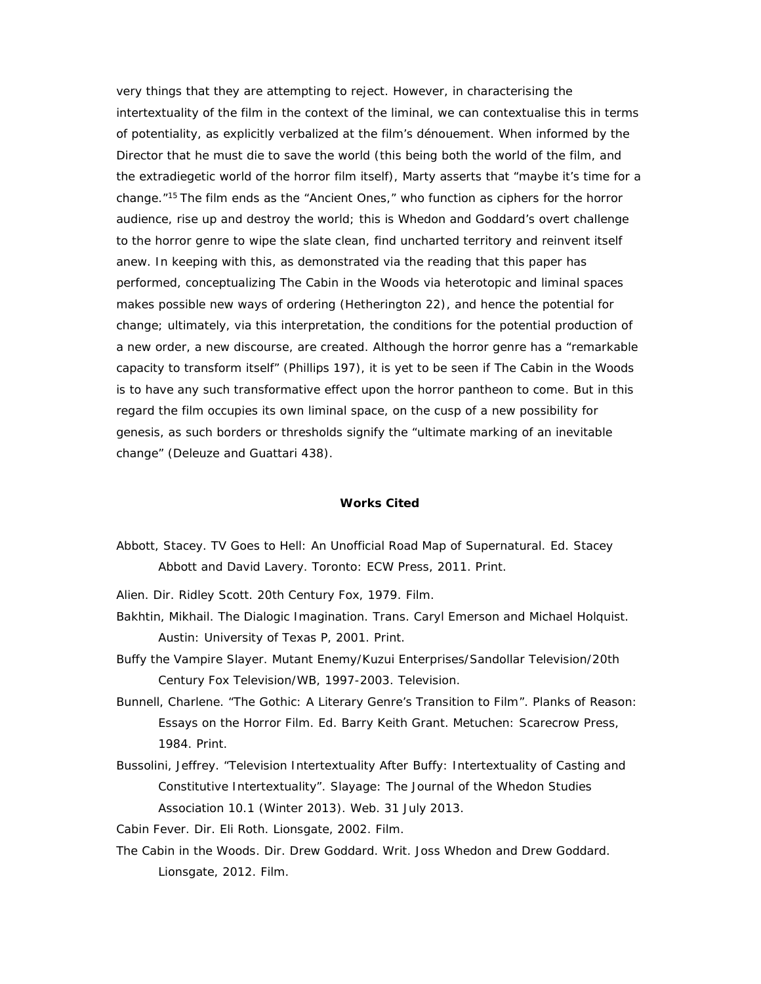very things that they are attempting to reject. However, in characterising the intertextuality of the film in the context of the liminal, we can contextualise this in terms of potentiality, as explicitly verbalized at the film's dénouement. When informed by the Director that he must die to save the world (this being both the world of the film, and the extradiegetic world of the horror film itself), Marty asserts that "maybe it's time for a change." <sup>15</sup> The film ends as the "Ancient Ones," who function as ciphers for the horror audience, rise up and destroy the world; this is Whedon and Goddard's overt challenge to the horror genre to wipe the slate clean, find uncharted territory and reinvent itself anew. In keeping with this, as demonstrated via the reading that this paper has performed, conceptualizing *The Cabin in the Woods* via heterotopic and liminal spaces makes possible new ways of ordering (Hetherington 22), and hence the potential for change; ultimately, via this interpretation, the conditions for the potential production of a new order, a new discourse, are created. Although the horror genre has a "remarkable capacity to transform itself" (Phillips 197), it is yet to be seen if *The Cabin in the Woods* is to have any such transformative effect upon the horror pantheon to come. But in this regard the film occupies its own liminal space, on the cusp of a new possibility for genesis, as such borders or thresholds signify the "ultimate marking of an inevitable change" (Deleuze and Guattari 438).

## **Works Cited**

- Abbott, Stacey. TV *Goes to Hell: An Unofficial Road Map of Supernatural.* Ed. Stacey Abbott and David Lavery. Toronto: ECW Press, 2011. Print.
- *Alien*. Dir. Ridley Scott. 20th Century Fox, 1979. Film.
- Bakhtin, Mikhail. *The Dialogic Imagination.* Trans. Caryl Emerson and Michael Holquist. Austin: University of Texas P, 2001. Print.
- *Buffy the Vampire Slayer.* Mutant Enemy/Kuzui Enterprises/Sandollar Television/20th Century Fox Television/WB, 1997-2003. Television.
- Bunnell, Charlene. "The Gothic: A Literary Genre's Transition to Film". *Planks of Reason: Essays on the Horror Film*. Ed. Barry Keith Grant. Metuchen: Scarecrow Press, 1984. Print.
- Bussolini, Jeffrey. "Television Intertextuality After *Buffy*: Intertextuality of Casting and Constitutive Intertextuality". *Slayage: The Journal of the Whedon Studies Association* 10.1 (Winter 2013). Web. 31 July 2013.

*Cabin Fever*. Dir. Eli Roth. Lionsgate, 2002. Film.

*The Cabin in the Woods*. Dir. Drew Goddard. Writ. Joss Whedon and Drew Goddard. Lionsgate, 2012. Film.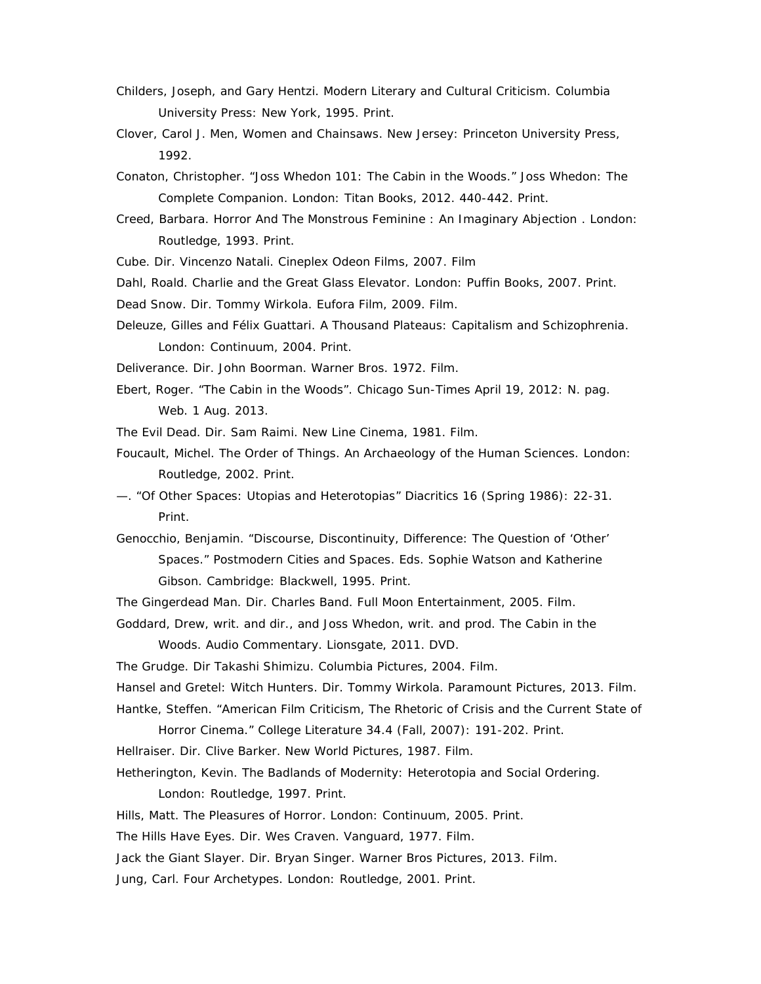- Childers, Joseph, and Gary Hentzi. *Modern Literary and Cultural Criticism.* Columbia University Press: New York, 1995. Print.
- Clover, Carol J. *Men, Women and Chainsaws*. New Jersey: Princeton University Press, 1992.
- Conaton, Christopher. "Joss Whedon 101: *The Cabin in the Woods." Joss Whedon: The Complete Companion*. London: Titan Books, 2012. 440-442. Print.
- Creed, Barbara. *Horror And The Monstrous Feminine : An Imaginary Abjection* . London: Routledge, 1993. Print.
- *Cube.* Dir. Vincenzo Natali. Cineplex Odeon Films, 2007. Film
- Dahl, Roald. *Charlie and the Great Glass Elevator*. London: Puffin Books, 2007. Print.
- *Dead Snow.* Dir. Tommy Wirkola. Eufora Film, 2009. Film.
- Deleuze, Gilles and Félix Guattari. *A Thousand Plateaus: Capitalism and Schizophrenia*. London: Continuum, 2004. Print.
- *Deliverance.* Dir. John Boorman. Warner Bros. 1972. Film.
- Ebert, Roger. "The Cabin in the Woods". *Chicago Sun-Times* April 19, 2012: N. pag. Web. 1 Aug. 2013.

*The Evil Dead.* Dir. Sam Raimi. New Line Cinema, 1981. Film.

- Foucault, Michel. *The Order of Things. An Archaeology of the Human Sciences.* London: Routledge, 2002. Print.
- —. "Of Other Spaces: Utopias and Heterotopias" *Diacritics* 16 (Spring 1986): 22-31. Print.
- Genocchio, Benjamin. "Discourse, Discontinuity, Difference: The Question of 'Other' Spaces." *Postmodern Cities and Spaces*. Eds. Sophie Watson and Katherine Gibson. Cambridge: Blackwell, 1995. Print.
- *The Gingerdead Man.* Dir. Charles Band. Full Moon Entertainment, 2005. Film.
- Goddard, Drew, writ. and dir., and Joss Whedon, writ. and prod. *The Cabin in the*

*Woods.* Audio Commentary. Lionsgate, 2011. DVD.

*The Grudge.* Dir Takashi Shimizu. Columbia Pictures, 2004. Film.

*Hansel and Gretel: Witch Hunters*. Dir. Tommy Wirkola. Paramount Pictures, 2013. Film.

Hantke, Steffen. "American Film Criticism, The Rhetoric of Crisis and the Current State of

Horror Cinema." *College Literature* 34.4 (Fall, 2007): 191-202. Print.

*Hellraiser*. Dir. Clive Barker. New World Pictures, 1987. Film.

Hetherington, Kevin. *The Badlands of Modernity: Heterotopia and Social Ordering*. London: Routledge, 1997. Print.

Hills, Matt. *The Pleasures of Horror*. London: Continuum, 2005. Print.

*The Hills Have Eyes.* Dir. Wes Craven. Vanguard, 1977. Film.

*Jack the Giant Slayer*. Dir. Bryan Singer. Warner Bros Pictures, 2013. Film.

Jung, Carl. *Four Archetypes.* London: Routledge, 2001. Print.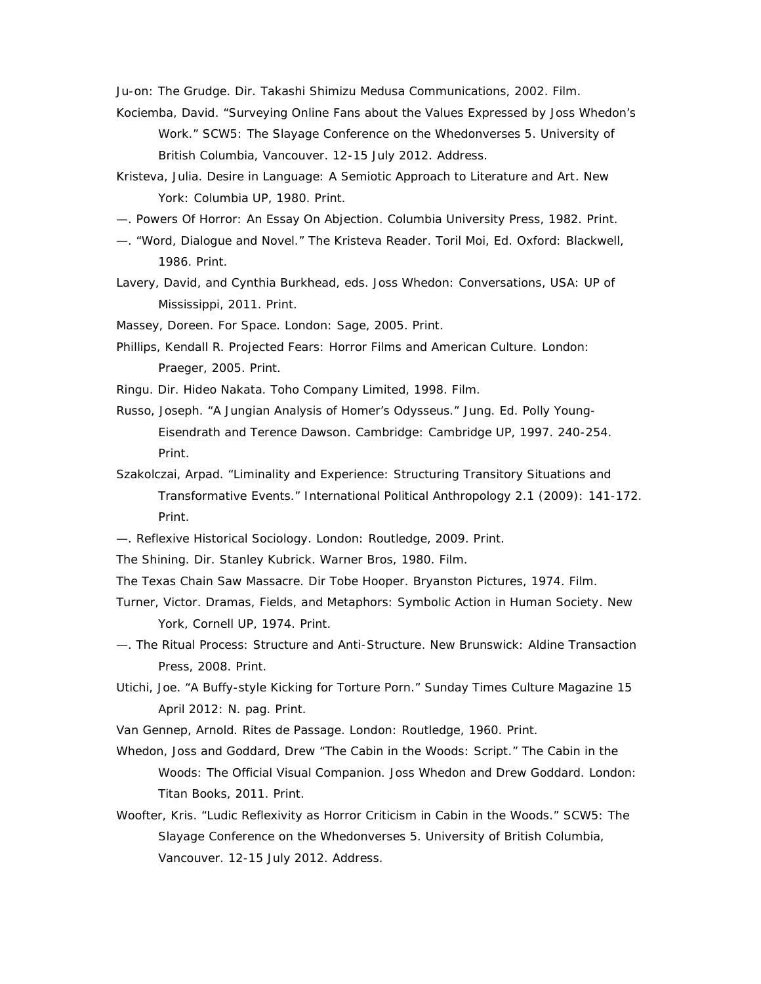*Ju-on: The Grudge*. Dir. Takashi Shimizu Medusa Communications, 2002. Film.

- Kociemba, David. "Surveying Online Fans about the Values Expressed by Joss Whedon's Work." SCW5: The *Slayage* Conference on the Whedonverses 5. University of British Columbia, Vancouver. 12-15 July 2012. Address.
- Kristeva*,* Julia. *Desire in Language: A Semiotic Approach to Literature and Art*. New York: Columbia UP, 1980. Print.
- —. *Powers Of Horror: An Essay On Abjection*. Columbia University Press, 1982. Print.
- —. "Word, Dialogue and Novel." *The Kristeva Reader*. Toril Moi, Ed. Oxford: Blackwell, 1986. Print.
- Lavery, David, and Cynthia Burkhead, eds. *Joss Whedon: Conversations*, USA: UP of Mississippi, 2011. Print.

Massey, Doreen*. For Space*. London: Sage, 2005. Print.

- Phillips, Kendall R. *Projected Fears: Horror Films and American Culture.* London: Praeger, 2005. Print.
- *Ringu*. Dir. Hideo Nakata. Toho Company Limited, 1998. Film.
- Russo, Joseph. "A Jungian Analysis of Homer's Odysseus." *Jung.* Ed. Polly Young- Eisendrath and Terence Dawson. Cambridge: Cambridge UP, 1997. 240-254. Print.
- Szakolczai, Arpad. "Liminality and Experience: Structuring Transitory Situations and Transformative Events." *International Political Anthropology* 2.1 (2009): 141-172. Print.
- —. *Reflexive Historical Sociology*. London: Routledge, 2009. Print.
- *The Shining.* Dir. Stanley Kubrick. Warner Bros, 1980. Film.
- *The Texas Chain Saw Massacre.* Dir Tobe Hooper. Bryanston Pictures, 1974. Film.
- Turner, Victor. *Dramas, Fields, and Metaphors: Symbolic Action in Human Society*. New York, Cornell UP, 1974. Print.
- *—. The Ritual Process: Structure and Anti-Structure*. New Brunswick: Aldine Transaction Press, 2008. Print.
- Utichi, Joe. "A Buffy-style Kicking for Torture Porn." *Sunday Times Culture Magazine* 15 April 2012: N. pag. Print.
- Van Gennep, Arnold. *Rites de Passage*. London: Routledge, 1960. Print.
- Whedon, Joss and Goddard, Drew "The Cabin in the Woods: Script." *The Cabin in the Woods: The Official Visual Companion.* Joss Whedon and Drew Goddard. London: Titan Books, 2011. Print.
- Woofter, Kris. "Ludic Reflexivity as Horror Criticism in Cabin in the Woods." SCW5: The *Slayage* Conference on the Whedonverses 5. University of British Columbia, Vancouver. 12-15 July 2012. Address.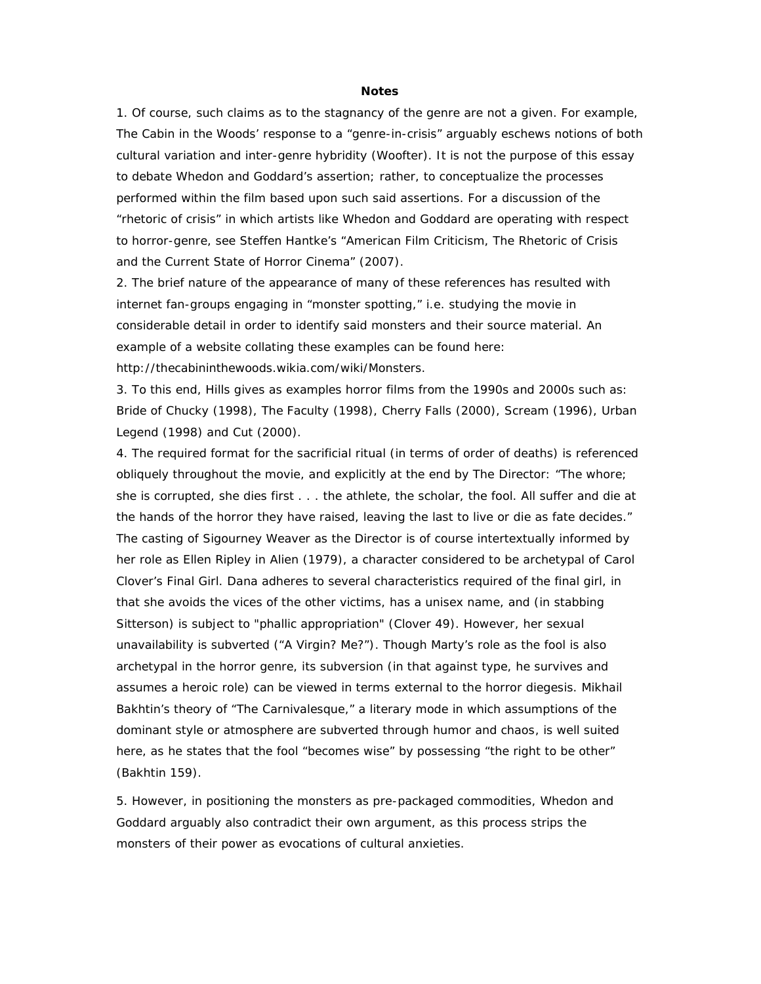## **Notes**

1. Of course, such claims as to the stagnancy of the genre are not a given. For example, *The Cabin in the Woods'* response to a "genre-in-crisis" arguably eschews notions of both cultural variation and inter-genre hybridity (Woofter). It is not the purpose of this essay to debate Whedon and Goddard's assertion; rather, to conceptualize the processes performed within the film based upon such said assertions. For a discussion of the "rhetoric of crisis" in which artists like Whedon and Goddard are operating with respect to horror-genre, see Steffen Hantke's "American Film Criticism, The Rhetoric of Crisis and the Current State of Horror Cinema" (2007).

2. The brief nature of the appearance of many of these references has resulted with internet fan-groups engaging in "monster spotting," i.e. studying the movie in considerable detail in order to identify said monsters and their source material. An example of a website collating these examples can be found here: http://thecabininthewoods.wikia.com/wiki/Monsters.

3. To this end, Hills gives as examples horror films from the 1990s and 2000s such as: *Bride of Chucky* (1998), *The Faculty* (1998), *Cherry Falls* (2000), *Scream* (1996), *Urban Legend* (1998) and *Cut* (2000).

4. The required format for the sacrificial ritual (in terms of order of deaths) is referenced obliquely throughout the movie, and explicitly at the end by The Director: "The whore; she is corrupted, she dies first . . . the athlete, the scholar, the fool. All suffer and die at the hands of the horror they have raised, leaving the last to live or die as fate decides." The casting of Sigourney Weaver as the Director is of course intertextually informed by her role as Ellen Ripley in *Alien* (1979), a character considered to be archetypal of Carol Clover's Final Girl. Dana adheres to several characteristics required of the final girl, in that she avoids the vices of the other victims, has a unisex name, and (in stabbing Sitterson) is subject to "phallic appropriation" (Clover 49). However, her sexual unavailability is subverted ("A Virgin? Me?"). Though Marty's role as the fool is also archetypal in the horror genre, its subversion (in that against type, he survives and assumes a heroic role) can be viewed in terms external to the horror diegesis. Mikhail Bakhtin's theory of "The Carnivalesque," a literary mode in which assumptions of the dominant style or atmosphere are subverted through humor and chaos, is well suited here, as he states that the fool "becomes wise" by possessing "the right to be other" (Bakhtin 159).

5. However, in positioning the monsters as pre-packaged commodities, Whedon and Goddard arguably also contradict their own argument, as this process strips the monsters of their power as evocations of cultural anxieties.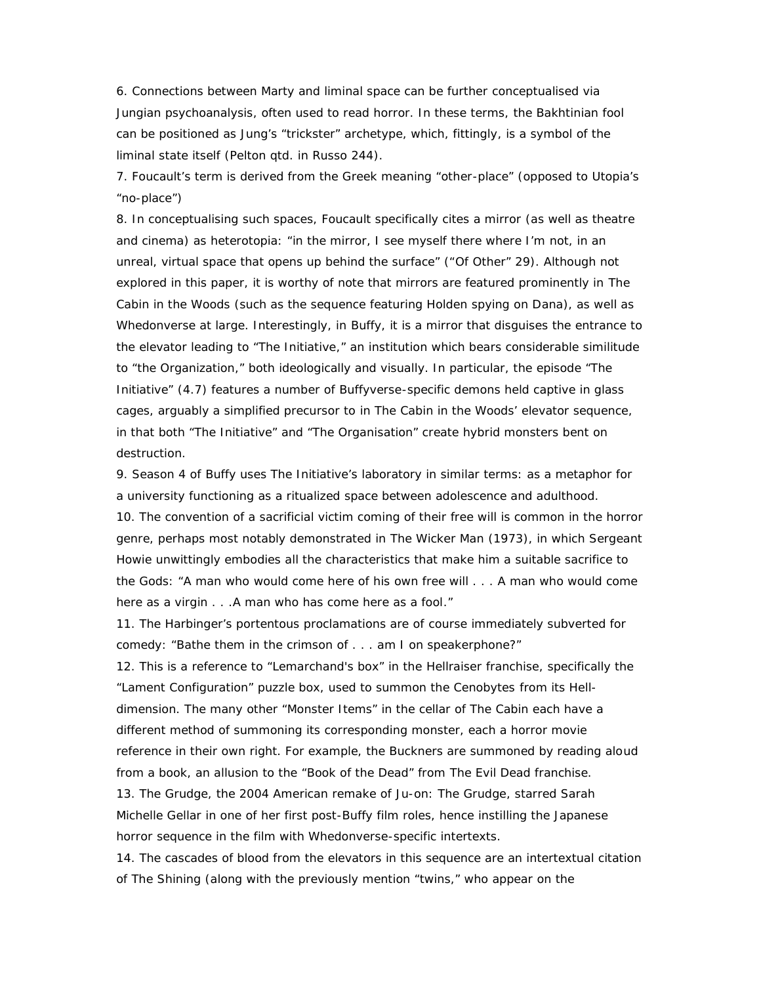6. Connections between Marty and liminal space can be further conceptualised via Jungian psychoanalysis, often used to read horror. In these terms, the Bakhtinian fool can be positioned as Jung's "trickster" archetype, which, fittingly, is a symbol of the liminal state itself (Pelton qtd. in Russo 244).

7. Foucault's term is derived from the Greek meaning "other-place" (opposed to Utopia's "no-place")

8. In conceptualising such spaces, Foucault specifically cites a mirror (as well as theatre and cinema) as heterotopia: "in the mirror, I see myself there where I'm not, in an unreal, virtual space that opens up behind the surface" ("Of Other" 29). Although not explored in this paper, it is worthy of note that mirrors are featured prominently in *The Cabin in the Woods* (such as the sequence featuring Holden spying on Dana), as well as Whedonverse at large. Interestingly, in *Buffy*, it is a mirror that disguises the entrance to the elevator leading to "The Initiative," an institution which bears considerable similitude to "the Organization," both ideologically and visually. In particular, the episode "The Initiative" (4.7) features a number of Buffyverse-specific demons held captive in glass cages, arguably a simplified precursor to in *The Cabin in the Woods'* elevator sequence, in that both "The Initiative" and "The Organisation" create hybrid monsters bent on destruction.

9. Season 4 of *Buffy* uses The Initiative's laboratory in similar terms: as a metaphor for a university functioning as a ritualized space between adolescence and adulthood. 10. The convention of a sacrificial victim coming of their free will is common in the horror genre, perhaps most notably demonstrated in *The Wicker Man* (1973), in which Sergeant Howie unwittingly embodies all the characteristics that make him a suitable sacrifice to the Gods: "A man who would come here of his own free will . . . A man who would come here as a virgin . . . A man who has come here as a fool."

11*.* The Harbinger's portentous proclamations are of course immediately subverted for comedy: "Bathe them in the crimson of . . . am I on speakerphone?"

12. This is a reference to "Lemarchand's box" in the *Hellraiser* franchise, specifically the "Lament Configuration" puzzle box, used to summon the Cenobytes from its Hell dimension. The many other "Monster Items" in the cellar of The Cabin each have a different method of summoning its corresponding monster, each a horror movie reference in their own right. For example, the Buckners are summoned by reading aloud from a book, an allusion to the "Book of the Dead" from *The Evil Dead* franchise. 13. *The Grudge*, the 2004 American remake of *Ju-on: The Grudge*, starred Sarah Michelle Gellar in one of her first post-*Buffy* film roles, hence instilling the Japanese horror sequence in the film with Whedonverse-specific intertexts.

14. The cascades of blood from the elevators in this sequence are an intertextual citation of *The Shining* (along with the previously mention "twins," who appear on the